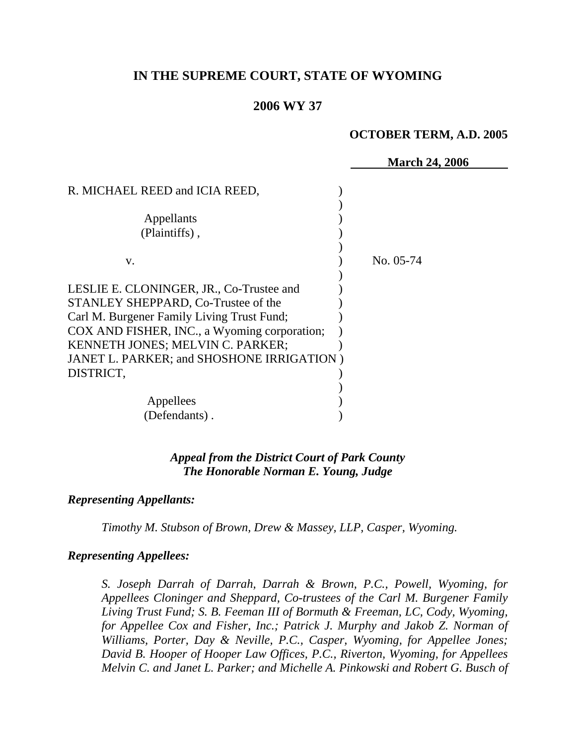# **IN THE SUPREME COURT, STATE OF WYOMING**

#### **2006 WY 37**

#### **OCTOBER TERM, A.D. 2005**

|                                              | <b>March 24, 2006</b> |
|----------------------------------------------|-----------------------|
| R. MICHAEL REED and ICIA REED,               |                       |
| Appellants                                   |                       |
| (Plaintiffs),                                |                       |
| V.                                           | No. 05-74             |
| LESLIE E. CLONINGER, JR., Co-Trustee and     |                       |
| STANLEY SHEPPARD, Co-Trustee of the          |                       |
| Carl M. Burgener Family Living Trust Fund;   |                       |
| COX AND FISHER, INC., a Wyoming corporation; |                       |
| <b>KENNETH JONES; MELVIN C. PARKER;</b>      |                       |
| JANET L. PARKER; and SHOSHONE IRRIGATION)    |                       |
| DISTRICT,                                    |                       |
|                                              |                       |
| Appellees                                    |                       |
| (Defendants).                                |                       |

### *Appeal from the District Court of Park County The Honorable Norman E. Young, Judge*

#### *Representing Appellants:*

*Timothy M. Stubson of Brown, Drew & Massey, LLP, Casper, Wyoming.* 

#### *Representing Appellees:*

*S. Joseph Darrah of Darrah, Darrah & Brown, P.C., Powell, Wyoming, for Appellees Cloninger and Sheppard, Co-trustees of the Carl M. Burgener Family Living Trust Fund; S. B. Feeman III of Bormuth & Freeman, LC, Cody, Wyoming, for Appellee Cox and Fisher, Inc.; Patrick J. Murphy and Jakob Z. Norman of Williams, Porter, Day & Neville, P.C., Casper, Wyoming, for Appellee Jones; David B. Hooper of Hooper Law Offices, P.C., Riverton, Wyoming, for Appellees Melvin C. and Janet L. Parker; and Michelle A. Pinkowski and Robert G. Busch of*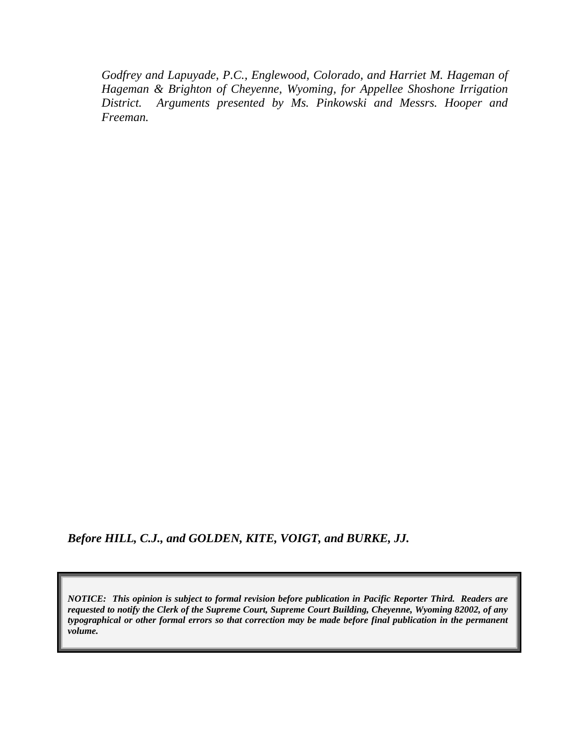*Godfrey and Lapuyade, P.C., Englewood, Colorado, and Harriet M. Hageman of Hageman & Brighton of Cheyenne, Wyoming, for Appellee Shoshone Irrigation District. Arguments presented by Ms. Pinkowski and Messrs. Hooper and Freeman.* 

*Before HILL, C.J., and GOLDEN, KITE, VOIGT, and BURKE, JJ.* 

*NOTICE: This opinion is subject to formal revision before publication in Pacific Reporter Third. Readers are requested to notify the Clerk of the Supreme Court, Supreme Court Building, Cheyenne, Wyoming 82002, of any typographical or other formal errors so that correction may be made before final publication in the permanent volume.*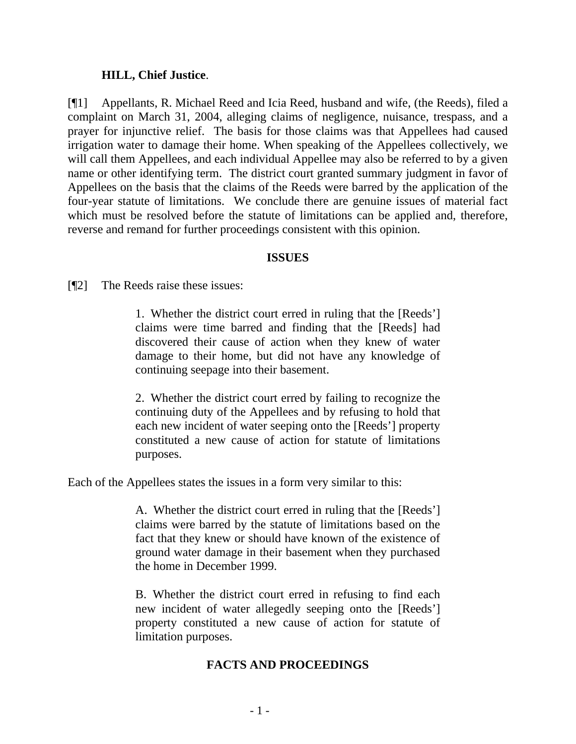### **HILL, Chief Justice**.

[¶1] Appellants, R. Michael Reed and Icia Reed, husband and wife, (the Reeds), filed a complaint on March 31, 2004, alleging claims of negligence, nuisance, trespass, and a prayer for injunctive relief. The basis for those claims was that Appellees had caused irrigation water to damage their home. When speaking of the Appellees collectively, we will call them Appellees, and each individual Appellee may also be referred to by a given name or other identifying term. The district court granted summary judgment in favor of Appellees on the basis that the claims of the Reeds were barred by the application of the four-year statute of limitations. We conclude there are genuine issues of material fact which must be resolved before the statute of limitations can be applied and, therefore, reverse and remand for further proceedings consistent with this opinion.

### **ISSUES**

[¶2] The Reeds raise these issues:

1. Whether the district court erred in ruling that the [Reeds'] claims were time barred and finding that the [Reeds] had discovered their cause of action when they knew of water damage to their home, but did not have any knowledge of continuing seepage into their basement.

2. Whether the district court erred by failing to recognize the continuing duty of the Appellees and by refusing to hold that each new incident of water seeping onto the [Reeds'] property constituted a new cause of action for statute of limitations purposes.

Each of the Appellees states the issues in a form very similar to this:

A. Whether the district court erred in ruling that the [Reeds'] claims were barred by the statute of limitations based on the fact that they knew or should have known of the existence of ground water damage in their basement when they purchased the home in December 1999.

B. Whether the district court erred in refusing to find each new incident of water allegedly seeping onto the [Reeds'] property constituted a new cause of action for statute of limitation purposes.

## **FACTS AND PROCEEDINGS**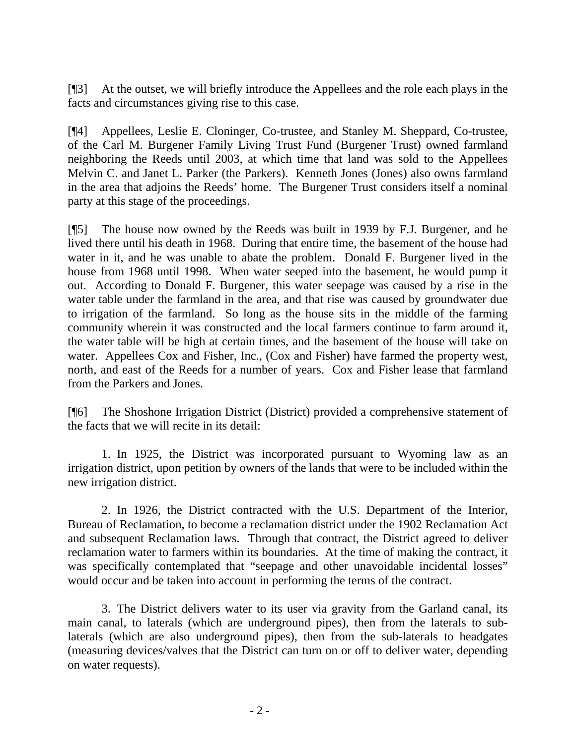[¶3] At the outset, we will briefly introduce the Appellees and the role each plays in the facts and circumstances giving rise to this case.

[¶4] Appellees, Leslie E. Cloninger, Co-trustee, and Stanley M. Sheppard, Co-trustee, of the Carl M. Burgener Family Living Trust Fund (Burgener Trust) owned farmland neighboring the Reeds until 2003, at which time that land was sold to the Appellees Melvin C. and Janet L. Parker (the Parkers). Kenneth Jones (Jones) also owns farmland in the area that adjoins the Reeds' home. The Burgener Trust considers itself a nominal party at this stage of the proceedings.

[¶5] The house now owned by the Reeds was built in 1939 by F.J. Burgener, and he lived there until his death in 1968. During that entire time, the basement of the house had water in it, and he was unable to abate the problem. Donald F. Burgener lived in the house from 1968 until 1998. When water seeped into the basement, he would pump it out. According to Donald F. Burgener, this water seepage was caused by a rise in the water table under the farmland in the area, and that rise was caused by groundwater due to irrigation of the farmland. So long as the house sits in the middle of the farming community wherein it was constructed and the local farmers continue to farm around it, the water table will be high at certain times, and the basement of the house will take on water. Appellees Cox and Fisher, Inc., (Cox and Fisher) have farmed the property west, north, and east of the Reeds for a number of years. Cox and Fisher lease that farmland from the Parkers and Jones.

[¶6] The Shoshone Irrigation District (District) provided a comprehensive statement of the facts that we will recite in its detail:

1. In 1925, the District was incorporated pursuant to Wyoming law as an irrigation district, upon petition by owners of the lands that were to be included within the new irrigation district.

2. In 1926, the District contracted with the U.S. Department of the Interior, Bureau of Reclamation, to become a reclamation district under the 1902 Reclamation Act and subsequent Reclamation laws. Through that contract, the District agreed to deliver reclamation water to farmers within its boundaries. At the time of making the contract, it was specifically contemplated that "seepage and other unavoidable incidental losses" would occur and be taken into account in performing the terms of the contract.

3. The District delivers water to its user via gravity from the Garland canal, its main canal, to laterals (which are underground pipes), then from the laterals to sublaterals (which are also underground pipes), then from the sub-laterals to headgates (measuring devices/valves that the District can turn on or off to deliver water, depending on water requests).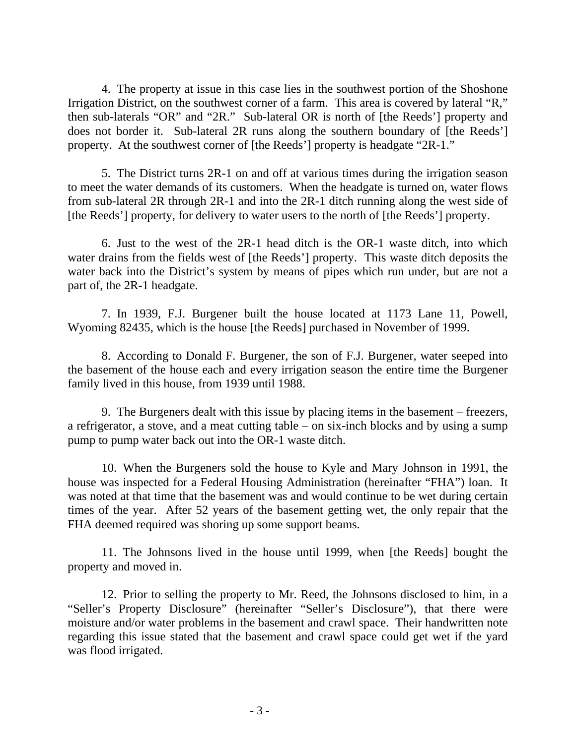4. The property at issue in this case lies in the southwest portion of the Shoshone Irrigation District, on the southwest corner of a farm. This area is covered by lateral "R," then sub-laterals "OR" and "2R." Sub-lateral OR is north of [the Reeds'] property and does not border it. Sub-lateral 2R runs along the southern boundary of [the Reeds'] property. At the southwest corner of [the Reeds'] property is headgate "2R-1."

5. The District turns 2R-1 on and off at various times during the irrigation season to meet the water demands of its customers. When the headgate is turned on, water flows from sub-lateral 2R through 2R-1 and into the 2R-1 ditch running along the west side of [the Reeds'] property, for delivery to water users to the north of [the Reeds'] property.

6. Just to the west of the 2R-1 head ditch is the OR-1 waste ditch, into which water drains from the fields west of [the Reeds'] property. This waste ditch deposits the water back into the District's system by means of pipes which run under, but are not a part of, the 2R-1 headgate.

7. In 1939, F.J. Burgener built the house located at 1173 Lane 11, Powell, Wyoming 82435, which is the house [the Reeds] purchased in November of 1999.

8. According to Donald F. Burgener, the son of F.J. Burgener, water seeped into the basement of the house each and every irrigation season the entire time the Burgener family lived in this house, from 1939 until 1988.

9. The Burgeners dealt with this issue by placing items in the basement – freezers, a refrigerator, a stove, and a meat cutting table – on six-inch blocks and by using a sump pump to pump water back out into the OR-1 waste ditch.

10. When the Burgeners sold the house to Kyle and Mary Johnson in 1991, the house was inspected for a Federal Housing Administration (hereinafter "FHA") loan. It was noted at that time that the basement was and would continue to be wet during certain times of the year. After 52 years of the basement getting wet, the only repair that the FHA deemed required was shoring up some support beams.

11. The Johnsons lived in the house until 1999, when [the Reeds] bought the property and moved in.

12. Prior to selling the property to Mr. Reed, the Johnsons disclosed to him, in a "Seller's Property Disclosure" (hereinafter "Seller's Disclosure"), that there were moisture and/or water problems in the basement and crawl space. Their handwritten note regarding this issue stated that the basement and crawl space could get wet if the yard was flood irrigated.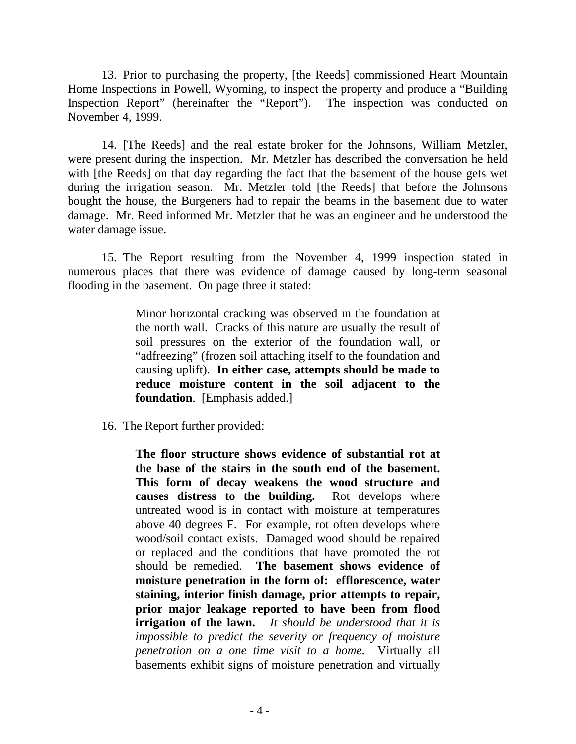13. Prior to purchasing the property, [the Reeds] commissioned Heart Mountain Home Inspections in Powell, Wyoming, to inspect the property and produce a "Building Inspection Report" (hereinafter the "Report"). The inspection was conducted on November 4, 1999.

14. [The Reeds] and the real estate broker for the Johnsons, William Metzler, were present during the inspection. Mr. Metzler has described the conversation he held with [the Reeds] on that day regarding the fact that the basement of the house gets wet during the irrigation season. Mr. Metzler told [the Reeds] that before the Johnsons bought the house, the Burgeners had to repair the beams in the basement due to water damage. Mr. Reed informed Mr. Metzler that he was an engineer and he understood the water damage issue.

15. The Report resulting from the November 4, 1999 inspection stated in numerous places that there was evidence of damage caused by long-term seasonal flooding in the basement. On page three it stated:

> Minor horizontal cracking was observed in the foundation at the north wall. Cracks of this nature are usually the result of soil pressures on the exterior of the foundation wall, or "adfreezing" (frozen soil attaching itself to the foundation and causing uplift). **In either case, attempts should be made to reduce moisture content in the soil adjacent to the foundation**. [Emphasis added.]

16. The Report further provided:

**The floor structure shows evidence of substantial rot at the base of the stairs in the south end of the basement. This form of decay weakens the wood structure and causes distress to the building.** Rot develops where untreated wood is in contact with moisture at temperatures above 40 degrees F. For example, rot often develops where wood/soil contact exists. Damaged wood should be repaired or replaced and the conditions that have promoted the rot should be remedied. **The basement shows evidence of moisture penetration in the form of: efflorescence, water staining, interior finish damage, prior attempts to repair, prior major leakage reported to have been from flood irrigation of the lawn.** *It should be understood that it is impossible to predict the severity or frequency of moisture penetration on a one time visit to a home*. Virtually all basements exhibit signs of moisture penetration and virtually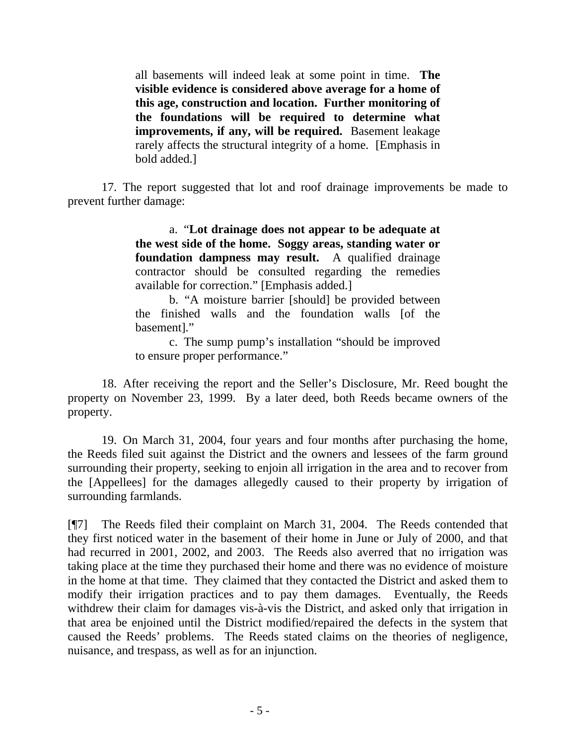all basements will indeed leak at some point in time. **The visible evidence is considered above average for a home of this age, construction and location. Further monitoring of the foundations will be required to determine what improvements, if any, will be required.** Basement leakage rarely affects the structural integrity of a home. [Emphasis in bold added.]

 17. The report suggested that lot and roof drainage improvements be made to prevent further damage:

> a. "**Lot drainage does not appear to be adequate at the west side of the home. Soggy areas, standing water or foundation dampness may result.** A qualified drainage contractor should be consulted regarding the remedies available for correction." [Emphasis added.]

> b. "A moisture barrier [should] be provided between the finished walls and the foundation walls [of the basement]."

> c. The sump pump's installation "should be improved to ensure proper performance."

 18. After receiving the report and the Seller's Disclosure, Mr. Reed bought the property on November 23, 1999. By a later deed, both Reeds became owners of the property.

 19. On March 31, 2004, four years and four months after purchasing the home, the Reeds filed suit against the District and the owners and lessees of the farm ground surrounding their property, seeking to enjoin all irrigation in the area and to recover from the [Appellees] for the damages allegedly caused to their property by irrigation of surrounding farmlands.

[¶7] The Reeds filed their complaint on March 31, 2004. The Reeds contended that they first noticed water in the basement of their home in June or July of 2000, and that had recurred in 2001, 2002, and 2003. The Reeds also averred that no irrigation was taking place at the time they purchased their home and there was no evidence of moisture in the home at that time. They claimed that they contacted the District and asked them to modify their irrigation practices and to pay them damages. Eventually, the Reeds withdrew their claim for damages vis-à-vis the District, and asked only that irrigation in that area be enjoined until the District modified/repaired the defects in the system that caused the Reeds' problems. The Reeds stated claims on the theories of negligence, nuisance, and trespass, as well as for an injunction.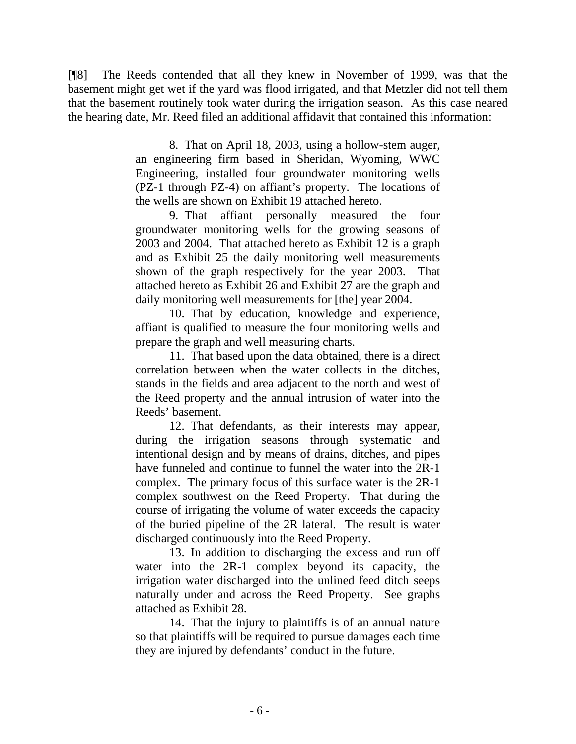[¶8] The Reeds contended that all they knew in November of 1999, was that the basement might get wet if the yard was flood irrigated, and that Metzler did not tell them that the basement routinely took water during the irrigation season. As this case neared the hearing date, Mr. Reed filed an additional affidavit that contained this information:

> 8. That on April 18, 2003, using a hollow-stem auger, an engineering firm based in Sheridan, Wyoming, WWC Engineering, installed four groundwater monitoring wells (PZ-1 through PZ-4) on affiant's property. The locations of the wells are shown on Exhibit 19 attached hereto.

> 9. That affiant personally measured the four groundwater monitoring wells for the growing seasons of 2003 and 2004. That attached hereto as Exhibit 12 is a graph and as Exhibit 25 the daily monitoring well measurements shown of the graph respectively for the year 2003. That attached hereto as Exhibit 26 and Exhibit 27 are the graph and daily monitoring well measurements for [the] year 2004.

> 10. That by education, knowledge and experience, affiant is qualified to measure the four monitoring wells and prepare the graph and well measuring charts.

> 11. That based upon the data obtained, there is a direct correlation between when the water collects in the ditches, stands in the fields and area adjacent to the north and west of the Reed property and the annual intrusion of water into the Reeds' basement.

> 12. That defendants, as their interests may appear, during the irrigation seasons through systematic and intentional design and by means of drains, ditches, and pipes have funneled and continue to funnel the water into the 2R-1 complex. The primary focus of this surface water is the 2R-1 complex southwest on the Reed Property. That during the course of irrigating the volume of water exceeds the capacity of the buried pipeline of the 2R lateral. The result is water discharged continuously into the Reed Property.

> 13. In addition to discharging the excess and run off water into the 2R-1 complex beyond its capacity, the irrigation water discharged into the unlined feed ditch seeps naturally under and across the Reed Property. See graphs attached as Exhibit 28.

 14. That the injury to plaintiffs is of an annual nature so that plaintiffs will be required to pursue damages each time they are injured by defendants' conduct in the future.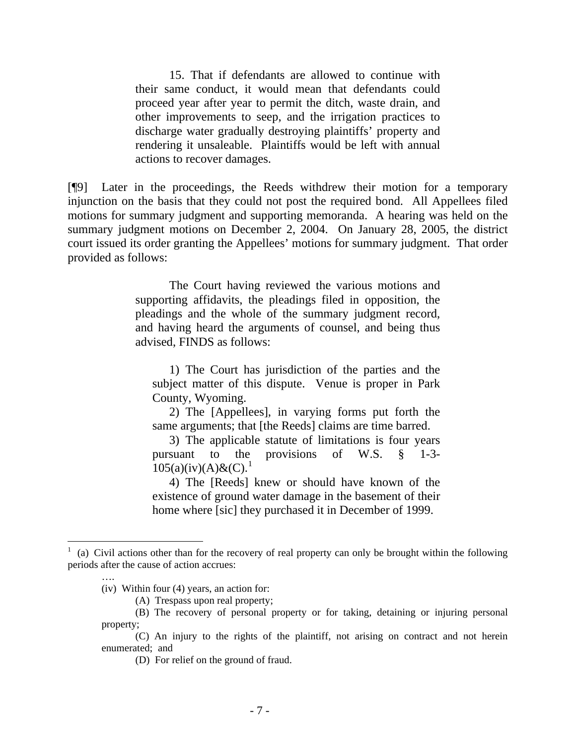15. That if defendants are allowed to continue with their same conduct, it would mean that defendants could proceed year after year to permit the ditch, waste drain, and other improvements to seep, and the irrigation practices to discharge water gradually destroying plaintiffs' property and rendering it unsaleable. Plaintiffs would be left with annual actions to recover damages.

[¶9] Later in the proceedings, the Reeds withdrew their motion for a temporary injunction on the basis that they could not post the required bond. All Appellees filed motions for summary judgment and supporting memoranda. A hearing was held on the summary judgment motions on December 2, 2004. On January 28, 2005, the district court issued its order granting the Appellees' motions for summary judgment. That order provided as follows:

> The Court having reviewed the various motions and supporting affidavits, the pleadings filed in opposition, the pleadings and the whole of the summary judgment record, and having heard the arguments of counsel, and being thus advised, FINDS as follows:

 1) The Court has jurisdiction of the parties and the subject matter of this dispute. Venue is proper in Park County, Wyoming.

 2) The [Appellees], in varying forms put forth the same arguments; that [the Reeds] claims are time barred.

 3) The applicable statute of limitations is four years pursuant to the provisions of W.S. § 1-3-  $105(a)(iv)(A) \& (C).$  $105(a)(iv)(A) \& (C).$ <sup>1</sup>

 4) The [Reeds] knew or should have known of the existence of ground water damage in the basement of their home where [sic] they purchased it in December of 1999.

l

<span id="page-9-0"></span><sup>1</sup> (a) Civil actions other than for the recovery of real property can only be brought within the following periods after the cause of action accrues:

 <sup>….</sup> 

 <sup>(</sup>iv) Within four (4) years, an action for: (A) Trespass upon real property;

 <sup>(</sup>B) The recovery of personal property or for taking, detaining or injuring personal property;

<sup>(</sup>C) An injury to the rights of the plaintiff, not arising on contract and not herein enumerated; and

 <sup>(</sup>D) For relief on the ground of fraud.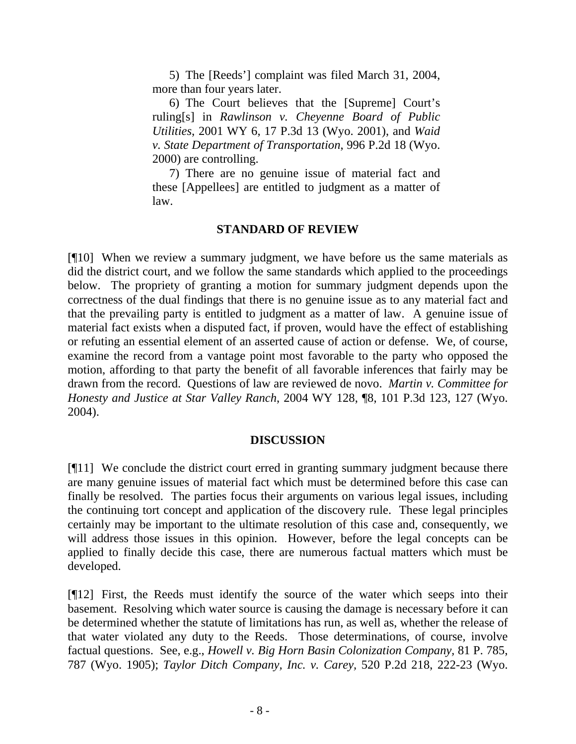5) The [Reeds'] complaint was filed March 31, 2004, more than four years later.

 6) The Court believes that the [Supreme] Court's ruling[s] in *Rawlinson v. Cheyenne Board of Public Utilities*, 2001 WY 6, 17 P.3d 13 (Wyo. 2001), and *Waid v. State Department of Transportation*, 996 P.2d 18 (Wyo. 2000) are controlling.

 7) There are no genuine issue of material fact and these [Appellees] are entitled to judgment as a matter of law.

## **STANDARD OF REVIEW**

[¶10] When we review a summary judgment, we have before us the same materials as did the district court, and we follow the same standards which applied to the proceedings below. The propriety of granting a motion for summary judgment depends upon the correctness of the dual findings that there is no genuine issue as to any material fact and that the prevailing party is entitled to judgment as a matter of law. A genuine issue of material fact exists when a disputed fact, if proven, would have the effect of establishing or refuting an essential element of an asserted cause of action or defense. We, of course, examine the record from a vantage point most favorable to the party who opposed the motion, affording to that party the benefit of all favorable inferences that fairly may be drawn from the record. Questions of law are reviewed de novo. *Martin v. Committee for Honesty and Justice at Star Valley Ranch*, 2004 WY 128, ¶8, 101 P.3d 123, 127 (Wyo. 2004).

### **DISCUSSION**

[¶11] We conclude the district court erred in granting summary judgment because there are many genuine issues of material fact which must be determined before this case can finally be resolved. The parties focus their arguments on various legal issues, including the continuing tort concept and application of the discovery rule. These legal principles certainly may be important to the ultimate resolution of this case and, consequently, we will address those issues in this opinion. However, before the legal concepts can be applied to finally decide this case, there are numerous factual matters which must be developed.

[¶12] First, the Reeds must identify the source of the water which seeps into their basement. Resolving which water source is causing the damage is necessary before it can be determined whether the statute of limitations has run, as well as, whether the release of that water violated any duty to the Reeds. Those determinations, of course, involve factual questions. See, e.g., *Howell v. Big Horn Basin Colonization Company,* 81 P. 785, 787 (Wyo. 1905); *Taylor Ditch Company, Inc. v. Carey,* 520 P.2d 218, 222-23 (Wyo.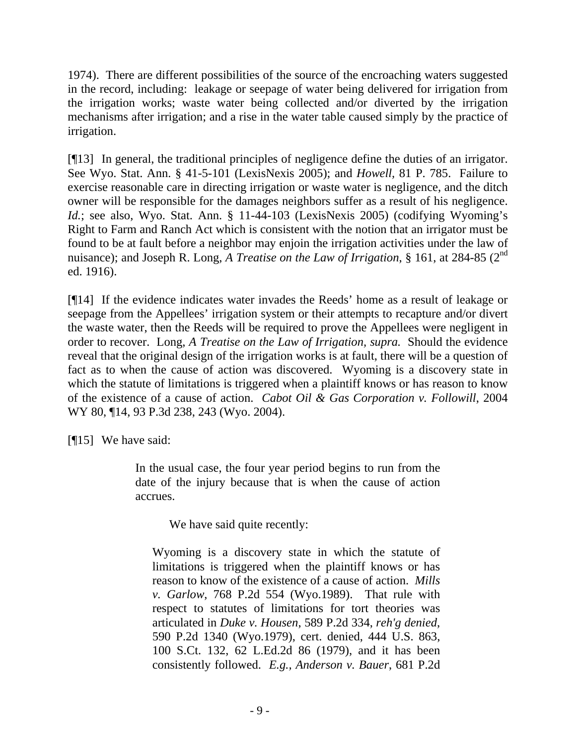1974). There are different possibilities of the source of the encroaching waters suggested in the record, including: leakage or seepage of water being delivered for irrigation from the irrigation works; waste water being collected and/or diverted by the irrigation mechanisms after irrigation; and a rise in the water table caused simply by the practice of irrigation.

[¶13] In general, the traditional principles of negligence define the duties of an irrigator. See Wyo. Stat. Ann. § 41-5-101 (LexisNexis 2005); and *Howell,* 81 P. 785. Failure to exercise reasonable care in directing irrigation or waste water is negligence, and the ditch owner will be responsible for the damages neighbors suffer as a result of his negligence. *Id.*; see also, Wyo. Stat. Ann. § 11-44-103 (LexisNexis 2005) (codifying Wyoming's Right to Farm and Ranch Act which is consistent with the notion that an irrigator must be found to be at fault before a neighbor may enjoin the irrigation activities under the law of nuisance); and Joseph R. Long, *A Treatise on the Law of Irrigation*, § 161, at 284-85 (2<sup>nd</sup>) ed. 1916).

[¶14] If the evidence indicates water invades the Reeds' home as a result of leakage or seepage from the Appellees' irrigation system or their attempts to recapture and/or divert the waste water, then the Reeds will be required to prove the Appellees were negligent in order to recover. Long, *A Treatise on the Law of Irrigation, supra.* Should the evidence reveal that the original design of the irrigation works is at fault, there will be a question of fact as to when the cause of action was discovered. Wyoming is a discovery state in which the statute of limitations is triggered when a plaintiff knows or has reason to know of the existence of a cause of action. *Cabot Oil & Gas Corporation v. Followill*, 2004 WY 80, ¶14, 93 P.3d 238, 243 (Wyo. 2004).

[¶15] We have said:

In the usual case, the four year period begins to run from the date of the injury because that is when the cause of action accrues.

We have said quite recently:

Wyoming is a discovery state in which the statute of limitations is triggered when the plaintiff knows or has reason to know of the existence of a cause of action. *Mills v. Garlow*, 768 P.2d 554 (Wyo.1989). That rule with respect to statutes of limitations for tort theories was articulated in *Duke v. Housen*, 589 P.2d 334, *reh'g denied*, 590 P.2d 1340 (Wyo.1979), cert. denied, 444 U.S. 863, 100 S.Ct. 132, 62 L.Ed.2d 86 (1979), and it has been consistently followed. *E.g., Anderson v. Bauer*, 681 P.2d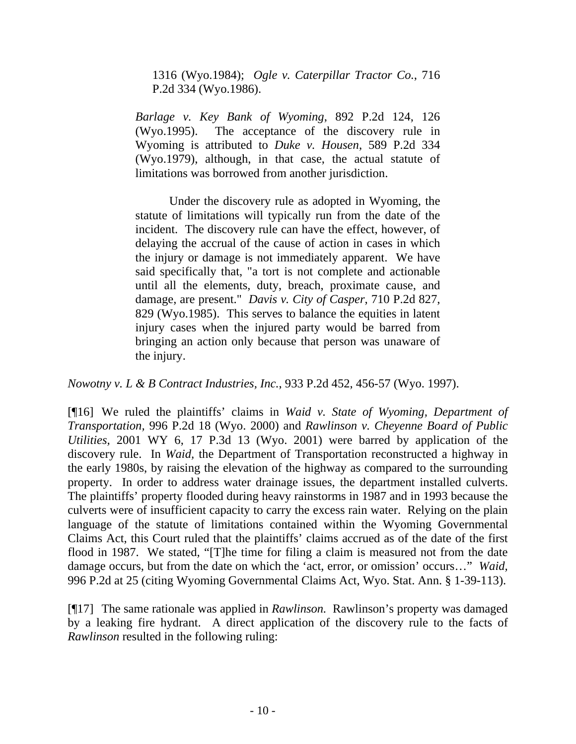1316 (Wyo.1984); *Ogle v. Caterpillar Tractor Co.*, 716 P.2d 334 (Wyo.1986).

*Barlage v. Key Bank of Wyoming*, 892 P.2d 124, 126 (Wyo.1995). The acceptance of the discovery rule in Wyoming is attributed to *Duke v. Housen*, 589 P.2d 334 (Wyo.1979), although, in that case, the actual statute of limitations was borrowed from another jurisdiction.

 Under the discovery rule as adopted in Wyoming, the statute of limitations will typically run from the date of the incident. The discovery rule can have the effect, however, of delaying the accrual of the cause of action in cases in which the injury or damage is not immediately apparent. We have said specifically that, "a tort is not complete and actionable until all the elements, duty, breach, proximate cause, and damage, are present." *Davis v. City of Casper*, 710 P.2d 827, 829 (Wyo.1985). This serves to balance the equities in latent injury cases when the injured party would be barred from bringing an action only because that person was unaware of the injury.

*Nowotny v. L & B Contract Industries, Inc.*, 933 P.2d 452, 456-57 (Wyo. 1997).

[¶16] We ruled the plaintiffs' claims in *Waid v. State of Wyoming, Department of Transportation,* 996 P.2d 18 (Wyo. 2000) and *Rawlinson v. Cheyenne Board of Public Utilities,* 2001 WY 6, 17 P.3d 13 (Wyo. 2001) were barred by application of the discovery rule. In *Waid,* the Department of Transportation reconstructed a highway in the early 1980s, by raising the elevation of the highway as compared to the surrounding property. In order to address water drainage issues, the department installed culverts. The plaintiffs' property flooded during heavy rainstorms in 1987 and in 1993 because the culverts were of insufficient capacity to carry the excess rain water. Relying on the plain language of the statute of limitations contained within the Wyoming Governmental Claims Act, this Court ruled that the plaintiffs' claims accrued as of the date of the first flood in 1987. We stated, "[T]he time for filing a claim is measured not from the date damage occurs, but from the date on which the 'act, error, or omission' occurs…" *Waid,*  996 P.2d at 25 (citing Wyoming Governmental Claims Act, Wyo. Stat. Ann. § 1-39-113).

[¶17] The same rationale was applied in *Rawlinson.* Rawlinson's property was damaged by a leaking fire hydrant. A direct application of the discovery rule to the facts of *Rawlinson* resulted in the following ruling: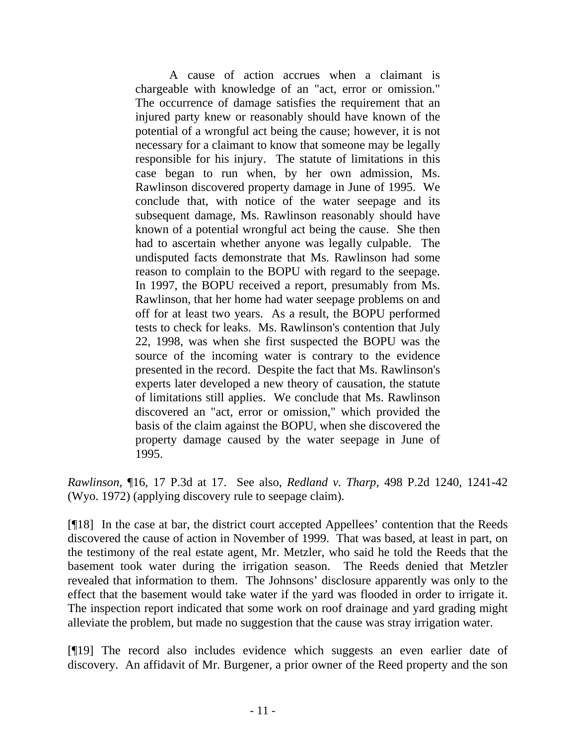A cause of action accrues when a claimant is chargeable with knowledge of an "act, error or omission." The occurrence of damage satisfies the requirement that an injured party knew or reasonably should have known of the potential of a wrongful act being the cause; however, it is not necessary for a claimant to know that someone may be legally responsible for his injury. The statute of limitations in this case began to run when, by her own admission, Ms. Rawlinson discovered property damage in June of 1995. We conclude that, with notice of the water seepage and its subsequent damage, Ms. Rawlinson reasonably should have known of a potential wrongful act being the cause. She then had to ascertain whether anyone was legally culpable. The undisputed facts demonstrate that Ms. Rawlinson had some reason to complain to the BOPU with regard to the seepage. In 1997, the BOPU received a report, presumably from Ms. Rawlinson, that her home had water seepage problems on and off for at least two years. As a result, the BOPU performed tests to check for leaks. Ms. Rawlinson's contention that July 22, 1998, was when she first suspected the BOPU was the source of the incoming water is contrary to the evidence presented in the record. Despite the fact that Ms. Rawlinson's experts later developed a new theory of causation, the statute of limitations still applies. We conclude that Ms. Rawlinson discovered an "act, error or omission," which provided the basis of the claim against the BOPU, when she discovered the property damage caused by the water seepage in June of 1995.

*Rawlinson,* ¶16, 17 P.3d at 17. See also, *Redland v. Tharp,* 498 P.2d 1240, 1241-42 (Wyo. 1972) (applying discovery rule to seepage claim).

[¶18] In the case at bar, the district court accepted Appellees' contention that the Reeds discovered the cause of action in November of 1999. That was based, at least in part, on the testimony of the real estate agent, Mr. Metzler, who said he told the Reeds that the basement took water during the irrigation season. The Reeds denied that Metzler revealed that information to them. The Johnsons' disclosure apparently was only to the effect that the basement would take water if the yard was flooded in order to irrigate it. The inspection report indicated that some work on roof drainage and yard grading might alleviate the problem, but made no suggestion that the cause was stray irrigation water.

[¶19] The record also includes evidence which suggests an even earlier date of discovery. An affidavit of Mr. Burgener, a prior owner of the Reed property and the son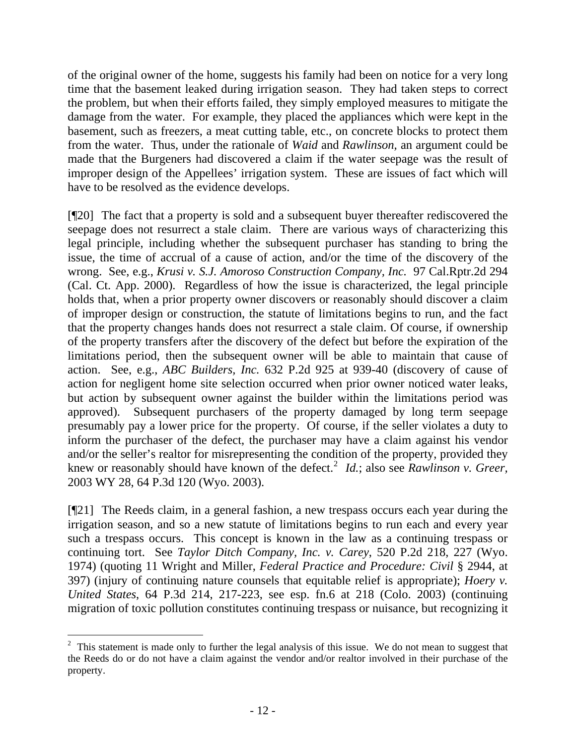of the original owner of the home, suggests his family had been on notice for a very long time that the basement leaked during irrigation season. They had taken steps to correct the problem, but when their efforts failed, they simply employed measures to mitigate the damage from the water. For example, they placed the appliances which were kept in the basement, such as freezers, a meat cutting table, etc., on concrete blocks to protect them from the water. Thus, under the rationale of *Waid* and *Rawlinson,* an argument could be made that the Burgeners had discovered a claim if the water seepage was the result of improper design of the Appellees' irrigation system. These are issues of fact which will have to be resolved as the evidence develops.

[¶20] The fact that a property is sold and a subsequent buyer thereafter rediscovered the seepage does not resurrect a stale claim. There are various ways of characterizing this legal principle, including whether the subsequent purchaser has standing to bring the issue, the time of accrual of a cause of action, and/or the time of the discovery of the wrong. See, e.g., *Krusi v. S.J. Amoroso Construction Company, Inc.* 97 Cal.Rptr.2d 294 (Cal. Ct. App. 2000). Regardless of how the issue is characterized, the legal principle holds that, when a prior property owner discovers or reasonably should discover a claim of improper design or construction, the statute of limitations begins to run, and the fact that the property changes hands does not resurrect a stale claim. Of course, if ownership of the property transfers after the discovery of the defect but before the expiration of the limitations period, then the subsequent owner will be able to maintain that cause of action. See, e.g., *ABC Builders, Inc.* 632 P.2d 925 at 939-40 (discovery of cause of action for negligent home site selection occurred when prior owner noticed water leaks, but action by subsequent owner against the builder within the limitations period was approved). Subsequent purchasers of the property damaged by long term seepage presumably pay a lower price for the property. Of course, if the seller violates a duty to inform the purchaser of the defect, the purchaser may have a claim against his vendor and/or the seller's realtor for misrepresenting the condition of the property, provided they knew or reasonably should have known of the defect.<sup>[2](#page-14-0)</sup> *Id.*; also see *Rawlinson v. Greer,* 2003 WY 28, 64 P.3d 120 (Wyo. 2003).

[¶21] The Reeds claim, in a general fashion, a new trespass occurs each year during the irrigation season, and so a new statute of limitations begins to run each and every year such a trespass occurs. This concept is known in the law as a continuing trespass or continuing tort. See *Taylor Ditch Company, Inc. v. Carey*, 520 P.2d 218, 227 (Wyo. 1974) (quoting 11 Wright and Miller, *Federal Practice and Procedure: Civil* § 2944, at 397) (injury of continuing nature counsels that equitable relief is appropriate); *Hoery v. United States*, 64 P.3d 214, 217-223, see esp. fn.6 at 218 (Colo. 2003) (continuing migration of toxic pollution constitutes continuing trespass or nuisance, but recognizing it

<span id="page-14-0"></span>  $2$  This statement is made only to further the legal analysis of this issue. We do not mean to suggest that the Reeds do or do not have a claim against the vendor and/or realtor involved in their purchase of the property.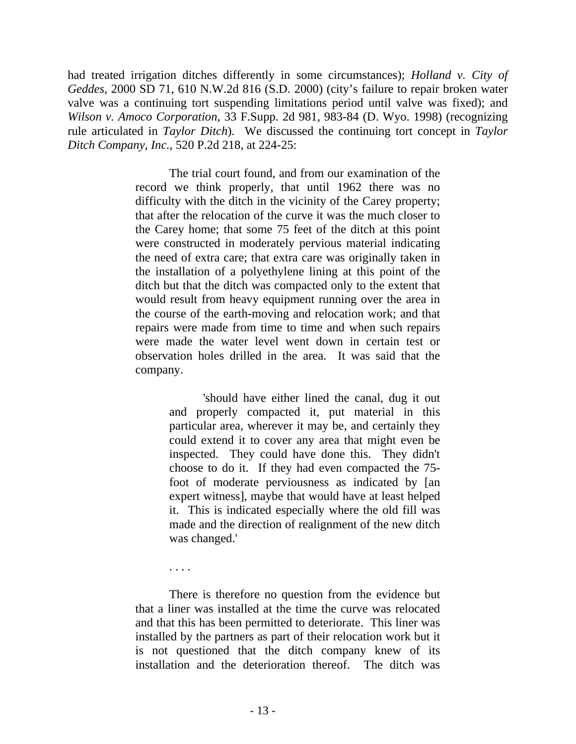had treated irrigation ditches differently in some circumstances); *Holland v. City of Geddes*, 2000 SD 71, 610 N.W.2d 816 (S.D. 2000) (city's failure to repair broken water valve was a continuing tort suspending limitations period until valve was fixed); and *Wilson v. Amoco Corporation*, 33 F.Supp. 2d 981, 983-84 (D. Wyo. 1998) (recognizing rule articulated in *Taylor Ditch*). We discussed the continuing tort concept in *Taylor Ditch Company, Inc.*, 520 P.2d 218, at 224-25:

> The trial court found, and from our examination of the record we think properly, that until 1962 there was no difficulty with the ditch in the vicinity of the Carey property; that after the relocation of the curve it was the much closer to the Carey home; that some 75 feet of the ditch at this point were constructed in moderately pervious material indicating the need of extra care; that extra care was originally taken in the installation of a polyethylene lining at this point of the ditch but that the ditch was compacted only to the extent that would result from heavy equipment running over the area in the course of the earth-moving and relocation work; and that repairs were made from time to time and when such repairs were made the water level went down in certain test or observation holes drilled in the area. It was said that the company.

> > 'should have either lined the canal, dug it out and properly compacted it, put material in this particular area, wherever it may be, and certainly they could extend it to cover any area that might even be inspected. They could have done this. They didn't choose to do it. If they had even compacted the 75 foot of moderate perviousness as indicated by [an expert witness], maybe that would have at least helped it. This is indicated especially where the old fill was made and the direction of realignment of the new ditch was changed.'

. . . .

There is therefore no question from the evidence but that a liner was installed at the time the curve was relocated and that this has been permitted to deteriorate. This liner was installed by the partners as part of their relocation work but it is not questioned that the ditch company knew of its installation and the deterioration thereof. The ditch was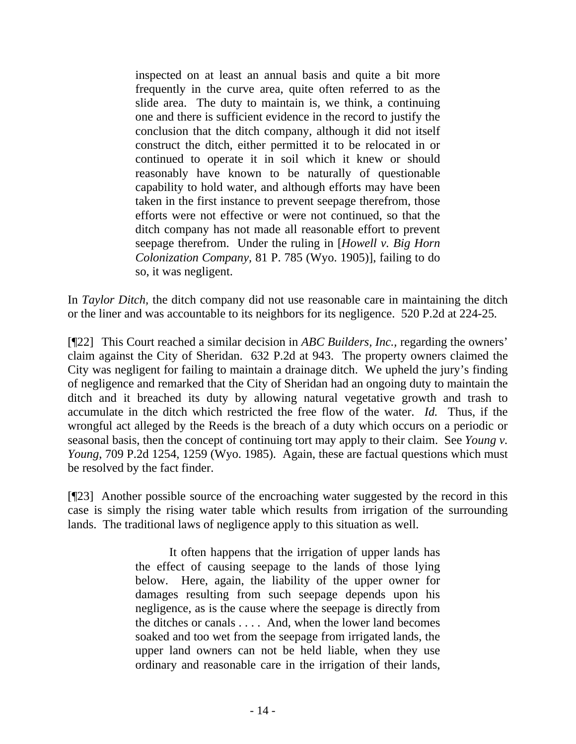inspected on at least an annual basis and quite a bit more frequently in the curve area, quite often referred to as the slide area. The duty to maintain is, we think, a continuing one and there is sufficient evidence in the record to justify the conclusion that the ditch company, although it did not itself construct the ditch, either permitted it to be relocated in or continued to operate it in soil which it knew or should reasonably have known to be naturally of questionable capability to hold water, and although efforts may have been taken in the first instance to prevent seepage therefrom, those efforts were not effective or were not continued, so that the ditch company has not made all reasonable effort to prevent seepage therefrom. Under the ruling in [*Howell v. Big Horn Colonization Company,* 81 P. 785 (Wyo. 1905)], failing to do so, it was negligent.

In *Taylor Ditch,* the ditch company did not use reasonable care in maintaining the ditch or the liner and was accountable to its neighbors for its negligence. 520 P.2d at 224-25*.* 

[¶22] This Court reached a similar decision in *ABC Builders, Inc.,* regarding the owners' claim against the City of Sheridan. 632 P.2d at 943. The property owners claimed the City was negligent for failing to maintain a drainage ditch. We upheld the jury's finding of negligence and remarked that the City of Sheridan had an ongoing duty to maintain the ditch and it breached its duty by allowing natural vegetative growth and trash to accumulate in the ditch which restricted the free flow of the water. *Id.* Thus, if the wrongful act alleged by the Reeds is the breach of a duty which occurs on a periodic or seasonal basis, then the concept of continuing tort may apply to their claim. See *Young v. Young*, 709 P.2d 1254, 1259 (Wyo. 1985). Again, these are factual questions which must be resolved by the fact finder.

[¶23] Another possible source of the encroaching water suggested by the record in this case is simply the rising water table which results from irrigation of the surrounding lands. The traditional laws of negligence apply to this situation as well.

> It often happens that the irrigation of upper lands has the effect of causing seepage to the lands of those lying below. Here, again, the liability of the upper owner for damages resulting from such seepage depends upon his negligence, as is the cause where the seepage is directly from the ditches or canals . . . . And, when the lower land becomes soaked and too wet from the seepage from irrigated lands, the upper land owners can not be held liable, when they use ordinary and reasonable care in the irrigation of their lands,